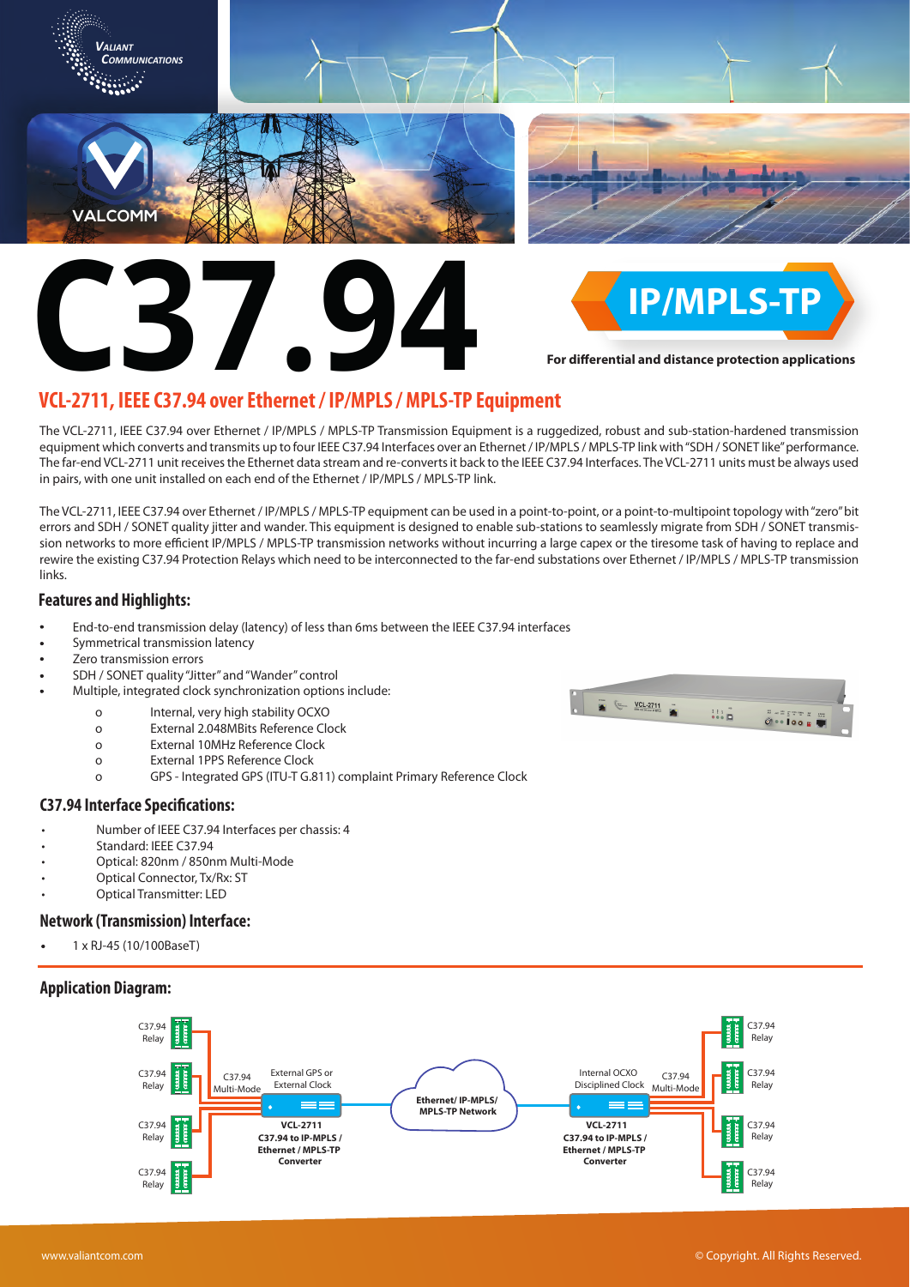

**[C37.94](https://www.valiantcom.com/teleprotection/ieee-c37-94.html) avec Ethernat (ID/ADIS / ADIS TD)** 

**For differential and distance protection applications** 

# **[VCL-2711, IEEE C37.94 over Ethernet / IP/MPLS / MPLS-TP Equipment](https://www.valiantcom.com/teleprotection/ieee-c37.94-ip-mpls/ieee-c37.94-ip-mpls.html)**

The VCL-2711, IEEE C37.94 over Ethernet / IP/MPLS / MPLS-TP Transmission Equipment is a ruggedized, robust and sub-station-hardened transmission equipment which converts and transmits up to four IEEE C37.94 Interfaces over an Ethernet / IP/MPLS / MPLS-TP link with "SDH / SONET like" performance. The far-end VCL-2711 unit receives the Ethernet data stream and re-converts it back to the IEEE C37.94 Interfaces. The VCL-2711 units must be always used in pairs, with one unit installed on each end of the Ethernet / IP/MPLS / MPLS-TP link.

The VCL-2711, IEEE C37.94 over Ethernet / IP/MPLS / MPLS-TP equipment can be used in a point-to-point, or a point-to-multipoint topology with "zero" bit errors and SDH / SONET quality jitter and wander. This equipment is designed to enable sub-stations to seamlessly migrate from SDH / SONET transmission networks to more efficient IP/MPLS / MPLS-TP transmission networks without incurring a large capex or the tiresome task of having to replace and rewire the existing C37.94 Protection Relays which need to be interconnected to the far-end substations over Ethernet / IP/MPLS / MPLS-TP transmission links.

# **Features and Highlights:**

- End-to-end transmission delay (latency) of less than 6ms between the IEEE C37.94 interfaces
- Symmetrical transmission latency
- Zero transmission errors
- SDH / SONET quality "Jitter" and "Wander" control
	- Multiple, integrated clock synchronization options include:
		- o Internal, very high stability OCXO
		- o External 2.048MBits Reference Clock
		- $\circ$ External 10MHz Reference Clock
		- o External 1PPS Reference Clock
		- o GPS Integrated GPS (ITU-T G.811) complaint Primary Reference Clock

#### **C37.94 Interface Specifications:**

- Number of IEEE C37.94 Interfaces per chassis: 4
- Standard: IEEE C37.94
- Optical: 820nm / 850nm Multi-Mode
- Optical Connector, Tx/Rx: ST
- Optical Transmitter: LED

## **Network (Transmission) Interface:**

1 x RJ-45 (10/100BaseT)

## **Application Diagram:**



 $\underbrace{\hspace{1cm}}_{\text{max}} \underbrace{\hspace{1cm}}_{\text{sum}}$  $\mathbb{H}^1$  .  $\overline{O} \rightarrow 100 \text{ m}$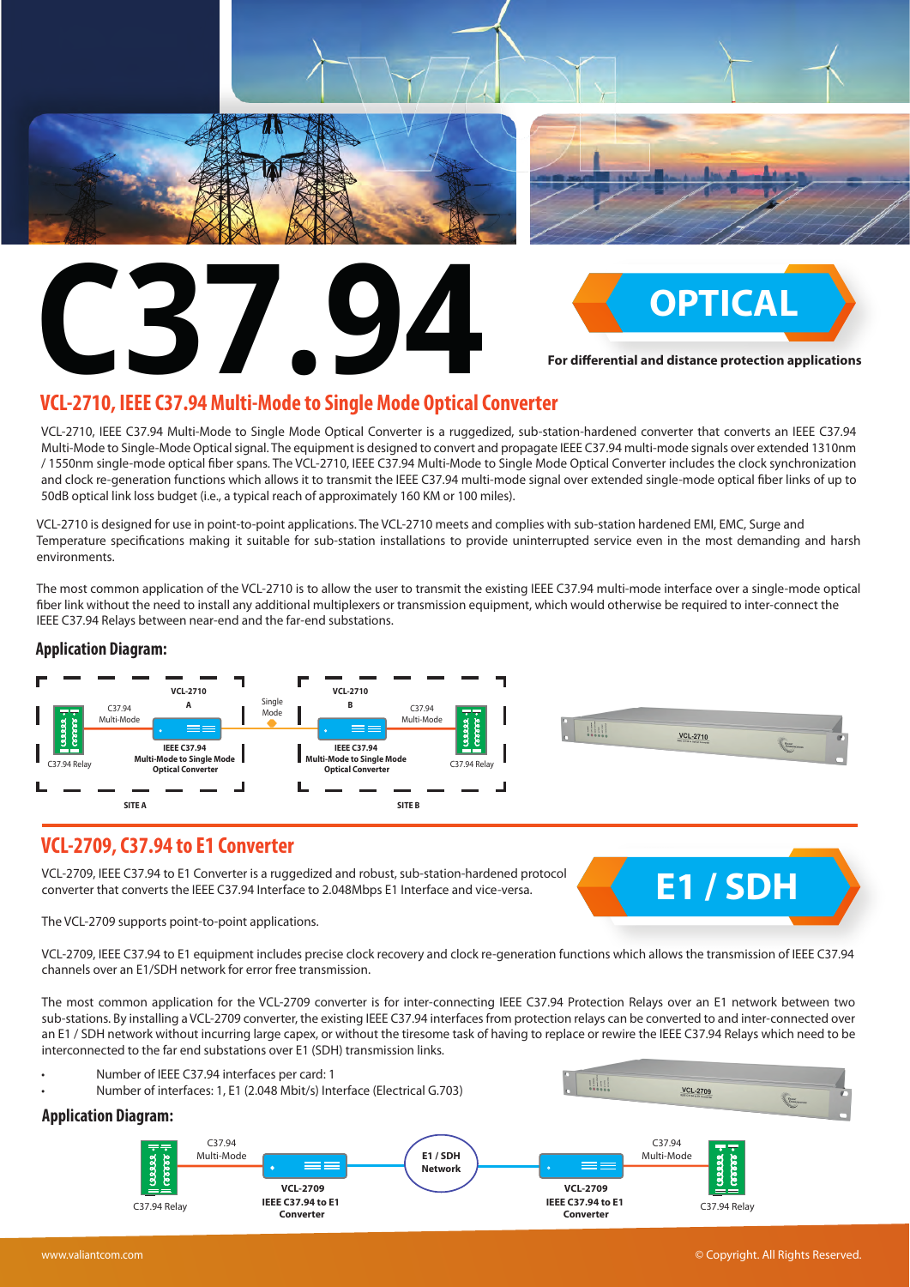





**For differential and distance protection applications** 

# **[VCL-2710, IEEE C37.94 Multi-Mode to Single Mode Optical Converter](https://www.valiantcom.com/teleprotection/opt-repeater/optical-repeater.html)**

VCL-2710, IEEE C37.94 Multi-Mode to Single Mode Optical Converter is a ruggedized, sub-station-hardened converter that converts an IEEE C37.94 Multi-Mode to Single-Mode Optical signal. The equipment is designed to convert and propagate IEEE C37.94 multi-mode signals over extended 1310nm / 1550nm single-mode optical ber spans. The VCL-2710, IEEE C37.94 Multi-Mode to Single Mode Optical Converter includes the clock synchronization and clock re-generation functions which allows it to transmit the IEEE C37.94 multi-mode signal over extended single-mode optical ber links of up to 50dB optical link loss budget (i.e., a typical reach of approximately 160 KM or 100 miles).

VCL-2710 is designed for use in point-to-point applications. The VCL-2710 meets and complies with sub-station hardened EMI, EMC, Surge and Temperature specifications making it suitable for sub-station installations to provide uninterrupted service even in the most demanding and harsh environments.

The most common application of the VCL-2710 is to allow the user to transmit the existing IEEE C37.94 multi-mode interface over a single-mode optical fiber link without the need to install any additional multiplexers or transmission equipment, which would otherwise be required to inter-connect the IEEE C37.94 Relays between near-end and the far-end substations.

## **Application Diagram:**



# **[VCL-2709, C37.94 to E1 Converter](https://www.valiantcom.com/teleprotection/e1/c37-94-e1_converter.html)**

VCL-2709, IEEE C37.94 to E1 Converter is a ruggedized and robust, sub-station-hardened protocol converter that converts the IEEE C37.94 Interface to 2.048Mbps E1 Interface and vice-versa.

The VCL-2709 supports point-to-point applications.



VCL-2709, IEEE C37.94 to E1 equipment includes precise clock recovery and clock re-generation functions which allows the transmission of IEEE C37.94 channels over an E1/SDH network for error free transmission.

The most common application for the VCL-2709 converter is for inter-connecting IEEE C37.94 Protection Relays over an E1 network between two sub-stations. By installing a VCL-2709 converter, the existing IEEE C37.94 interfaces from protection relays can be converted to and inter-connected over an E1 / SDH network without incurring large capex, or without the tiresome task of having to replace or rewire the IEEE C37.94 Relays which need to be interconnected to the far end substations over E1 (SDH) transmission links.